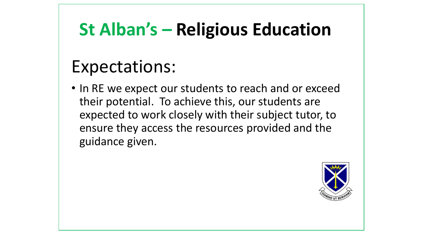# **St Alban's – Religious Education**

## Expectations:

• In RE we expect our students to reach and or exceed their potential. To achieve this, our students are expected to work closely with their subject tutor, to ensure they access the resources provided and the guidance given.

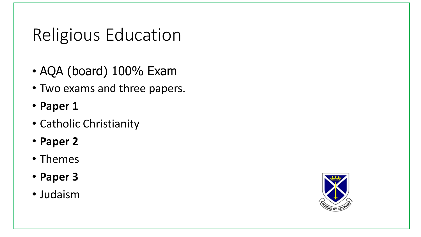## Religious Education

- AQA (board) 100% Exam
- Two exams and three papers.
- **Paper 1**
- Catholic Christianity
- **Paper 2**
- Themes
- **Paper 3**
- Judaism

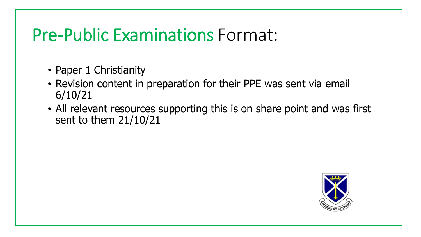### Pre-Public Examinations Format:

- Paper 1 Christianity
- Revision content in preparation for their PPE was sent via email 6/10/21
- All relevant resources supporting this is on share point and was first sent to them 21/10/21

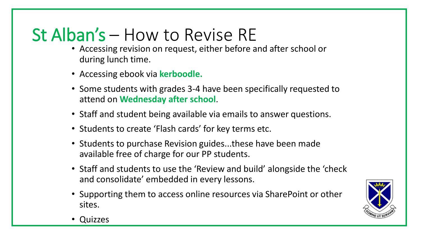## St Alban's – How to Revise RE

- Accessing revision on request, either before and after school or during lunch time.
- Accessing ebook via **kerboodle.**
- Some students with grades 3-4 have been specifically requested to attend on **Wednesday after school**.
- Staff and student being available via emails to answer questions.
- Students to create 'Flash cards' for key terms etc.
- Students to purchase Revision guides...these have been made available free of charge for our PP students.
- Staff and students to use the 'Review and build' alongside the 'check and consolidate' embedded in every lessons.
- Supporting them to access online resources via SharePoint or other sites.



• Quizzes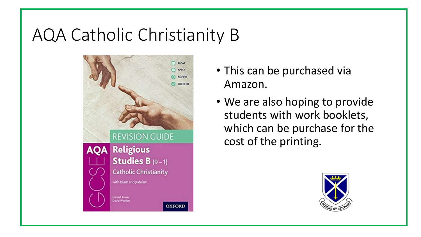## AQA Catholic Christianity B



- This can be purchased via Amazon.
- We are also hoping to provide students with work booklets, which can be purchase for the cost of the printing.

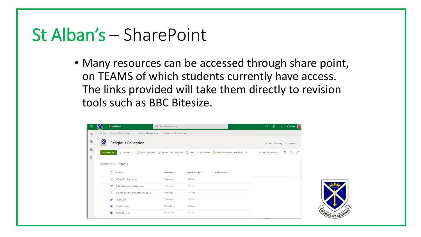### St Alban's – SharePoint

• Many resources can be accessed through share point, on TEAMS of which students currently have access. The links provided will take them directly to revision tools such as BBC Bitesize.

| $\boxtimes$<br><b>SharePoint</b>                        |                 |                                    |                        | <b>୍ବ</b><br>$\mathcal{P}$<br>$\Box$<br>C.Gilson                                                                                                                                                |
|---------------------------------------------------------|-----------------|------------------------------------|------------------------|-------------------------------------------------------------------------------------------------------------------------------------------------------------------------------------------------|
| Student Shared Area $\sim$<br>Admin Shared Area<br>Home |                 |                                    |                        |                                                                                                                                                                                                 |
| $\boxtimes$<br><b>Religious Education</b>               |                 |                                    |                        | ☆ Not following ie Share                                                                                                                                                                        |
| $+$ New $\vee$<br>Documents $\ge$ Year 11               |                 |                                    |                        | $\equiv$ All Documents $\vee$ $\sqrt{ }$<br>$\odot$                                                                                                                                             |
| Name $\vee$                                             | Modified $\vee$ | Modified By $\vee$                 | $+$ Add column $\vee$  |                                                                                                                                                                                                 |
| $\bullet$<br>AQA BBC bitesize.url                       | 5 days ago      | C.Gilson                           |                        |                                                                                                                                                                                                 |
| $\bullet$<br><b>BBC Religion Christianity.url</b>       | 5 days ago      | C.Gilson                           |                        |                                                                                                                                                                                                 |
| $\bullet$<br>Church and the Kingdom of God.url          | 5 days ago      | C.Gilson                           |                        |                                                                                                                                                                                                 |
| 凾<br>clocks.docx                                        | 5 days ago      | C.Gilson                           |                        |                                                                                                                                                                                                 |
| 凾<br>Creation.docx                                      | November 1      | H.Foster                           |                        |                                                                                                                                                                                                 |
| Ñ<br><b>GCSE Revision</b>                               | October 28      | C.Gilson                           |                        |                                                                                                                                                                                                 |
|                                                         |                 | $\overline{Q}$ Search this library | Curriculum Shared Area | $\bar{\uparrow}$ Upload $\vee$ $\boxplus$ Edit in grid view $\mathcal{Q}$ Share $\heartsuit$ Copy link $\mathcal{Q}$ Sync $\downarrow$ Download $\mathcal{Q}$ Add shortcut to OneDrive $\cdots$ |

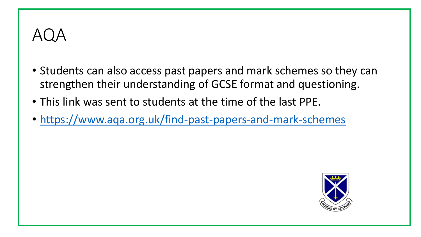## AQA

- Students can also access past papers and mark schemes so they can strengthen their understanding of GCSE format and questioning.
- This link was sent to students at the time of the last PPE.
- <https://www.aqa.org.uk/find-past-papers-and-mark-schemes>